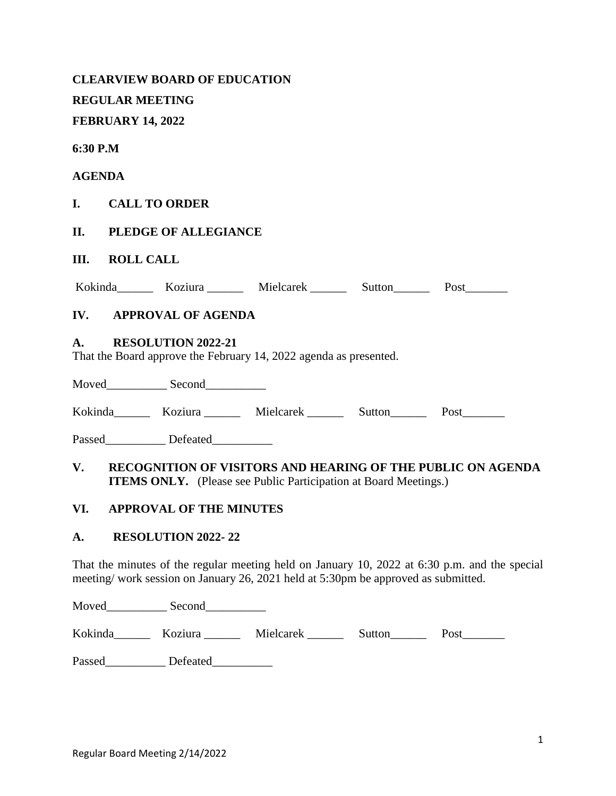|               | <b>REGULAR MEETING</b>   | <b>CLEARVIEW BOARD OF EDUCATION</b>     |                                                                                                                                                                                    |  |  |
|---------------|--------------------------|-----------------------------------------|------------------------------------------------------------------------------------------------------------------------------------------------------------------------------------|--|--|
|               | <b>FEBRUARY 14, 2022</b> |                                         |                                                                                                                                                                                    |  |  |
| 6:30 P.M      |                          |                                         |                                                                                                                                                                                    |  |  |
| <b>AGENDA</b> |                          |                                         |                                                                                                                                                                                    |  |  |
|               |                          | I. CALL TO ORDER                        |                                                                                                                                                                                    |  |  |
|               |                          | <b>II. PLEDGE OF ALLEGIANCE</b>         |                                                                                                                                                                                    |  |  |
| Ш.            | <b>ROLL CALL</b>         |                                         |                                                                                                                                                                                    |  |  |
|               |                          |                                         | Kokinda Koziura Mielcarek Sutton Post                                                                                                                                              |  |  |
|               |                          | IV. APPROVAL OF AGENDA                  |                                                                                                                                                                                    |  |  |
| A.            |                          | <b>RESOLUTION 2022-21</b>               | That the Board approve the February 14, 2022 agenda as presented.                                                                                                                  |  |  |
|               |                          |                                         |                                                                                                                                                                                    |  |  |
|               |                          |                                         | Kokinda Koziura Mielcarek Sutton Post                                                                                                                                              |  |  |
|               |                          | Passed_____________ Defeated___________ |                                                                                                                                                                                    |  |  |
|               |                          |                                         | V. RECOGNITION OF VISITORS AND HEARING OF THE PUBLIC ON AGENDA<br><b>ITEMS ONLY.</b> (Please see Public Participation at Board Meetings.)                                          |  |  |
|               |                          | VI. APPROVAL OF THE MINUTES             |                                                                                                                                                                                    |  |  |
| A.            |                          | RESOLUTION 2022-22                      |                                                                                                                                                                                    |  |  |
|               |                          |                                         | That the minutes of the regular meeting held on January 10, 2022 at 6:30 p.m. and the special<br>meeting/work session on January 26, 2021 held at 5:30pm be approved as submitted. |  |  |

Moved\_\_\_\_\_\_\_\_\_\_ Second\_\_\_\_\_\_\_\_\_\_

Kokinda\_\_\_\_\_\_\_ Koziura \_\_\_\_\_\_ Mielcarek \_\_\_\_\_\_ Sutton\_\_\_\_\_\_ Post\_\_\_\_\_\_\_

Passed\_\_\_\_\_\_\_\_\_\_\_\_ Defeated\_\_\_\_\_\_\_\_\_\_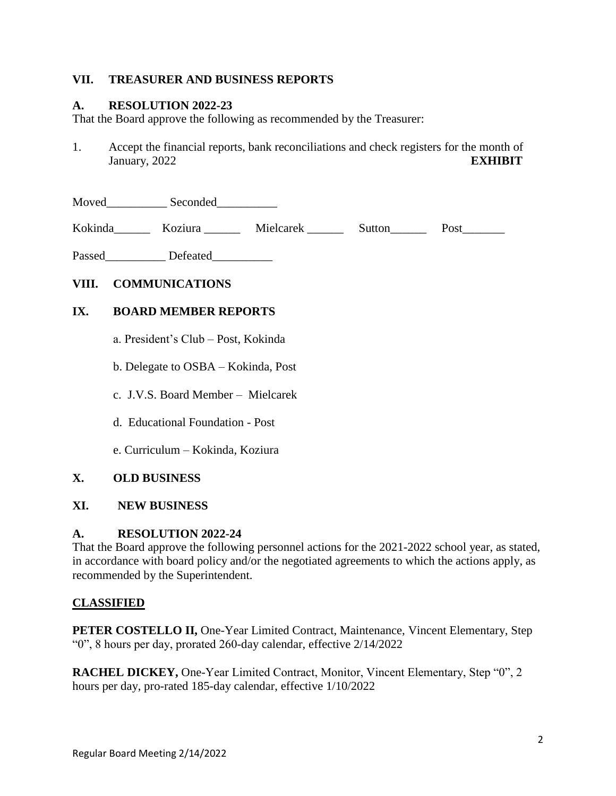## **VII. TREASURER AND BUSINESS REPORTS**

## **A. RESOLUTION 2022-23**

That the Board approve the following as recommended by the Treasurer:

1. Accept the financial reports, bank reconciliations and check registers for the month of January, 2022 **EXHIBIT**

| Moved | Seconded |
|-------|----------|
|       |          |

Kokinda\_\_\_\_\_\_\_ Koziura \_\_\_\_\_\_ Mielcarek \_\_\_\_\_\_ Sutton\_\_\_\_\_\_ Post\_\_\_\_\_\_\_

Passed Defeated

# **VIII. COMMUNICATIONS**

## **IX. BOARD MEMBER REPORTS**

- a. President's Club Post, Kokinda
- b. Delegate to OSBA Kokinda, Post
- c. J.V.S. Board Member Mielcarek
- d. Educational Foundation Post
- e. Curriculum Kokinda, Koziura

## **X. OLD BUSINESS**

## **XI. NEW BUSINESS**

## **A. RESOLUTION 2022-24**

That the Board approve the following personnel actions for the 2021-2022 school year, as stated, in accordance with board policy and/or the negotiated agreements to which the actions apply, as recommended by the Superintendent.

# **CLASSIFIED**

**PETER COSTELLO II, One-Year Limited Contract, Maintenance, Vincent Elementary, Step** "0", 8 hours per day, prorated 260-day calendar, effective 2/14/2022

**RACHEL DICKEY,** One-Year Limited Contract, Monitor, Vincent Elementary, Step "0", 2 hours per day, pro-rated 185-day calendar, effective 1/10/2022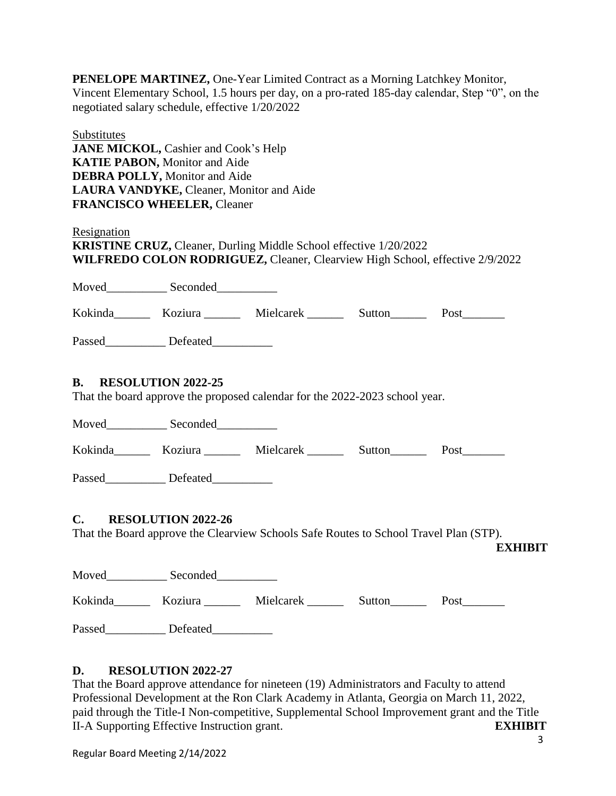**PENELOPE MARTINEZ,** One-Year Limited Contract as a Morning Latchkey Monitor, Vincent Elementary School, 1.5 hours per day, on a pro-rated 185-day calendar, Step "0", on the negotiated salary schedule, effective 1/20/2022

**Substitutes JANE MICKOL, Cashier and Cook's Help KATIE PABON,** Monitor and Aide **DEBRA POLLY,** Monitor and Aide **LAURA VANDYKE,** Cleaner, Monitor and Aide **FRANCISCO WHEELER,** Cleaner

**Resignation KRISTINE CRUZ,** Cleaner, Durling Middle School effective 1/20/2022 **WILFREDO COLON RODRIGUEZ,** Cleaner, Clearview High School, effective 2/9/2022

Moved\_\_\_\_\_\_\_\_\_\_ Seconded\_\_\_\_\_\_\_\_\_\_ Kokinda Koziura Mielcarek Sutton Post Passed\_\_\_\_\_\_\_\_\_\_\_\_ Defeated\_\_\_\_\_\_\_\_\_\_\_\_ **B. RESOLUTION 2022-25** That the board approve the proposed calendar for the 2022-2023 school year. Moved Seconded Kokinda Koziura Mielcarek Sutton Post Passed Defeated **C. RESOLUTION 2022-26** That the Board approve the Clearview Schools Safe Routes to School Travel Plan (STP). **EXHIBIT**

| Moved   | Seconded |           |        |      |
|---------|----------|-----------|--------|------|
| Kokinda | Koziura  | Mielcarek | Sutton | Post |
| Passed  | Defeated |           |        |      |

# **D. RESOLUTION 2022-27**

That the Board approve attendance for nineteen (19) Administrators and Faculty to attend Professional Development at the Ron Clark Academy in Atlanta, Georgia on March 11, 2022, paid through the Title-I Non-competitive, Supplemental School Improvement grant and the Title II-A Supporting Effective Instruction grant. **EXHIBIT**